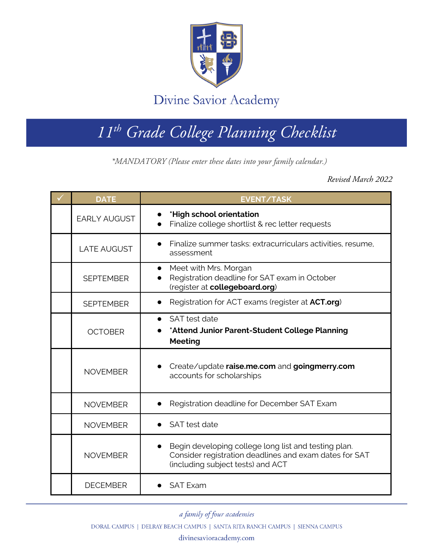

Divine Savior Academy

## *11th Grade College Planning Checklist*

**\*MANDATORY (Please enter these dates into your family calendar.)**

*\*MANDATORY (Please enter these dates into your family calendar.)*

*Revised March 2022*

| <b>DATE</b>         | <b>EVENT/TASK</b>                                                                                                                                   |
|---------------------|-----------------------------------------------------------------------------------------------------------------------------------------------------|
| <b>EARLY AUGUST</b> | *High school orientation<br>Finalize college shortlist & rec letter requests                                                                        |
| <b>LATE AUGUST</b>  | Finalize summer tasks: extracurriculars activities, resume,<br>assessment                                                                           |
| <b>SEPTEMBER</b>    | Meet with Mrs. Morgan<br>Registration deadline for SAT exam in October<br>(register at collegeboard.org)                                            |
| <b>SEPTEMBER</b>    | Registration for ACT exams (register at <b>ACT.org</b> )                                                                                            |
| <b>OCTOBER</b>      | SAT test date<br>$\bullet$<br>*Attend Junior Parent-Student College Planning<br><b>Meeting</b>                                                      |
| <b>NOVEMBER</b>     | Create/update raise.me.com and goingmerry.com<br>accounts for scholarships                                                                          |
| <b>NOVEMBER</b>     | Registration deadline for December SAT Exam                                                                                                         |
| <b>NOVEMBER</b>     | SAT test date                                                                                                                                       |
| <b>NOVEMBER</b>     | Begin developing college long list and testing plan.<br>Consider registration deadlines and exam dates for SAT<br>(including subject tests) and ACT |
| <b>DECEMBER</b>     | <b>SAT Exam</b>                                                                                                                                     |

a family of four academies

DORAL CAMPUS | DELRAY BEACH CAMPUS | SANTA RITA RANCH CAMPUS | SIENNA CAMPUS

divinesavioracademy.com